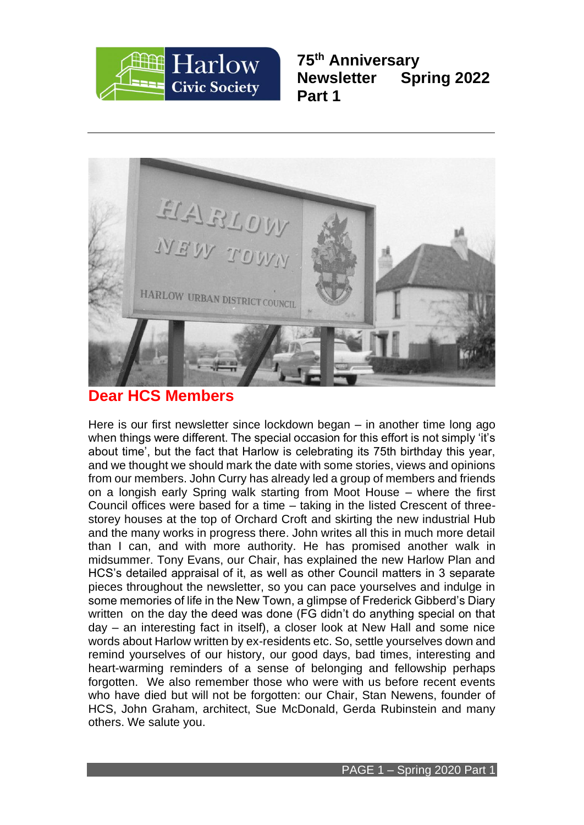

**75th Anniversary Newsletter Spring 2022 Part 1**



### **Dear HCS Members**

Here is our first newsletter since lockdown began – in another time long ago when things were different. The special occasion for this effort is not simply 'it's about time', but the fact that Harlow is celebrating its 75th birthday this year, and we thought we should mark the date with some stories, views and opinions from our members. John Curry has already led a group of members and friends on a longish early Spring walk starting from Moot House – where the first Council offices were based for a time – taking in the listed Crescent of threestorey houses at the top of Orchard Croft and skirting the new industrial Hub and the many works in progress there. John writes all this in much more detail than I can, and with more authority. He has promised another walk in midsummer. Tony Evans, our Chair, has explained the new Harlow Plan and HCS's detailed appraisal of it, as well as other Council matters in 3 separate pieces throughout the newsletter, so you can pace yourselves and indulge in some memories of life in the New Town, a glimpse of Frederick Gibberd's Diary written on the day the deed was done (FG didn't do anything special on that day – an interesting fact in itself), a closer look at New Hall and some nice words about Harlow written by ex-residents etc. So, settle yourselves down and remind yourselves of our history, our good days, bad times, interesting and heart-warming reminders of a sense of belonging and fellowship perhaps forgotten. We also remember those who were with us before recent events who have died but will not be forgotten: our Chair, Stan Newens, founder of HCS, John Graham, architect, Sue McDonald, Gerda Rubinstein and many others. We salute you.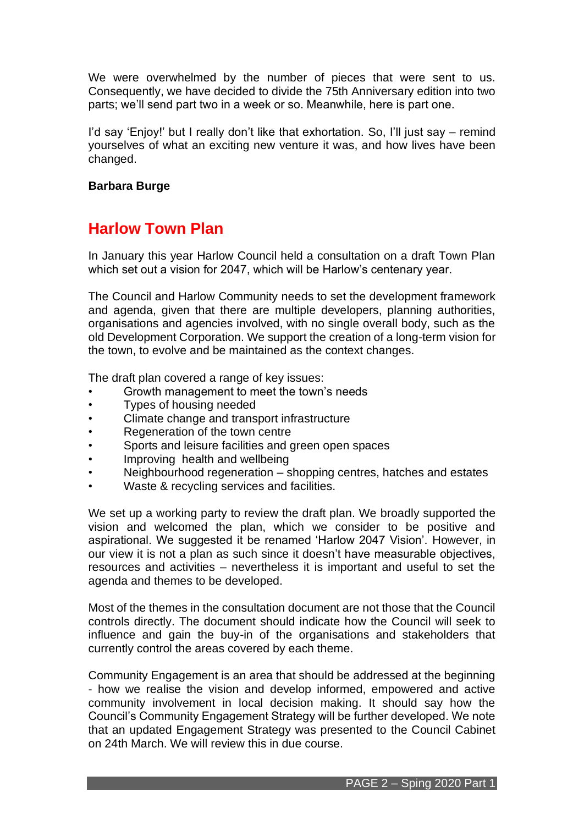We were overwhelmed by the number of pieces that were sent to us. Consequently, we have decided to divide the 75th Anniversary edition into two parts; we'll send part two in a week or so. Meanwhile, here is part one.

I'd say 'Enjoy!' but I really don't like that exhortation. So, I'll just say – remind yourselves of what an exciting new venture it was, and how lives have been changed.

### **Barbara Burge**

## **Harlow Town Plan**

In January this year Harlow Council held a consultation on a draft Town Plan which set out a vision for 2047, which will be Harlow's centenary year.

The Council and Harlow Community needs to set the development framework and agenda, given that there are multiple developers, planning authorities, organisations and agencies involved, with no single overall body, such as the old Development Corporation. We support the creation of a long-term vision for the town, to evolve and be maintained as the context changes.

The draft plan covered a range of key issues:

- Growth management to meet the town's needs
- Types of housing needed
- Climate change and transport infrastructure
- Regeneration of the town centre
- Sports and leisure facilities and green open spaces
- Improving health and wellbeing
- Neighbourhood regeneration shopping centres, hatches and estates
- Waste & recycling services and facilities.

We set up a working party to review the draft plan. We broadly supported the vision and welcomed the plan, which we consider to be positive and aspirational. We suggested it be renamed 'Harlow 2047 Vision'. However, in our view it is not a plan as such since it doesn't have measurable objectives, resources and activities – nevertheless it is important and useful to set the agenda and themes to be developed.

Most of the themes in the consultation document are not those that the Council controls directly. The document should indicate how the Council will seek to influence and gain the buy-in of the organisations and stakeholders that currently control the areas covered by each theme.

Community Engagement is an area that should be addressed at the beginning - how we realise the vision and develop informed, empowered and active community involvement in local decision making. It should say how the Council's Community Engagement Strategy will be further developed. We note that an updated Engagement Strategy was presented to the Council Cabinet on 24th March. We will review this in due course.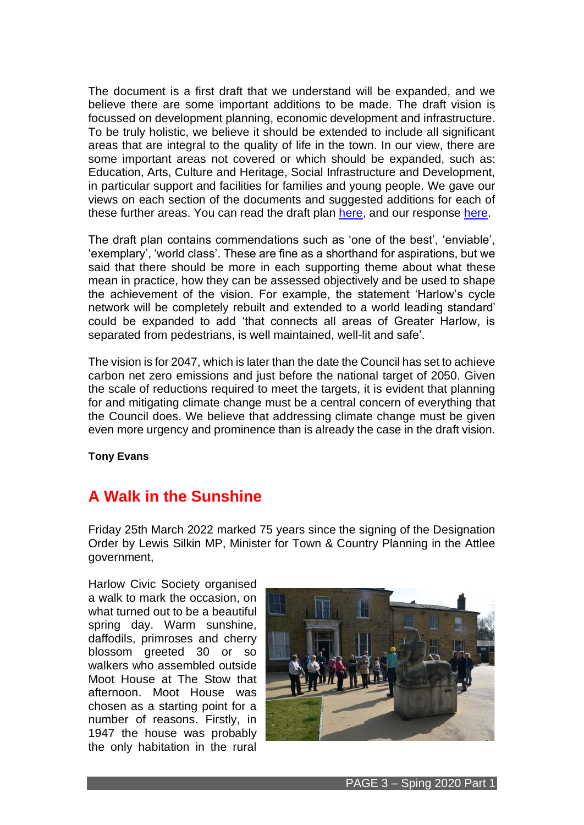The document is a first draft that we understand will be expanded, and we believe there are some important additions to be made. The draft vision is focussed on development planning, economic development and infrastructure. To be truly holistic, we believe it should be extended to include all significant areas that are integral to the quality of life in the town. In our view, there are some important areas not covered or which should be expanded, such as: Education, Arts, Culture and Heritage, Social Infrastructure and Development, in particular support and facilities for families and young people. We gave our views on each section of the documents and suggested additions for each of these further areas. You can read the draft plan [here,](https://www.harlow.gov.uk/planning-and-building-control/planning-policy/town-plan) and our response [here.](http://www.harlowcivicsociety.org.uk/wp-content/uploads/2022/04/Harlow-Civic-Society-Response-to-Harlow-Town-Plan-January-2022.pdf)

The draft plan contains commendations such as 'one of the best', 'enviable', 'exemplary', 'world class'. These are fine as a shorthand for aspirations, but we said that there should be more in each supporting theme about what these mean in practice, how they can be assessed objectively and be used to shape the achievement of the vision. For example, the statement 'Harlow's cycle network will be completely rebuilt and extended to a world leading standard' could be expanded to add 'that connects all areas of Greater Harlow, is separated from pedestrians, is well maintained, well-lit and safe'.

The vision is for 2047, which is later than the date the Council has set to achieve carbon net zero emissions and just before the national target of 2050. Given the scale of reductions required to meet the targets, it is evident that planning for and mitigating climate change must be a central concern of everything that the Council does. We believe that addressing climate change must be given even more urgency and prominence than is already the case in the draft vision.

**Tony Evans**

## **A Walk in the Sunshine**

Friday 25th March 2022 marked 75 years since the signing of the Designation Order by Lewis Silkin MP, Minister for Town & Country Planning in the Attlee government,

Harlow Civic Society organised a walk to mark the occasion, on what turned out to be a beautiful spring day. Warm sunshine, daffodils, primroses and cherry blossom greeted 30 or so walkers who assembled outside Moot House at The Stow that afternoon. Moot House was chosen as a starting point for a number of reasons. Firstly, in 1947 the house was probably the only habitation in the rural

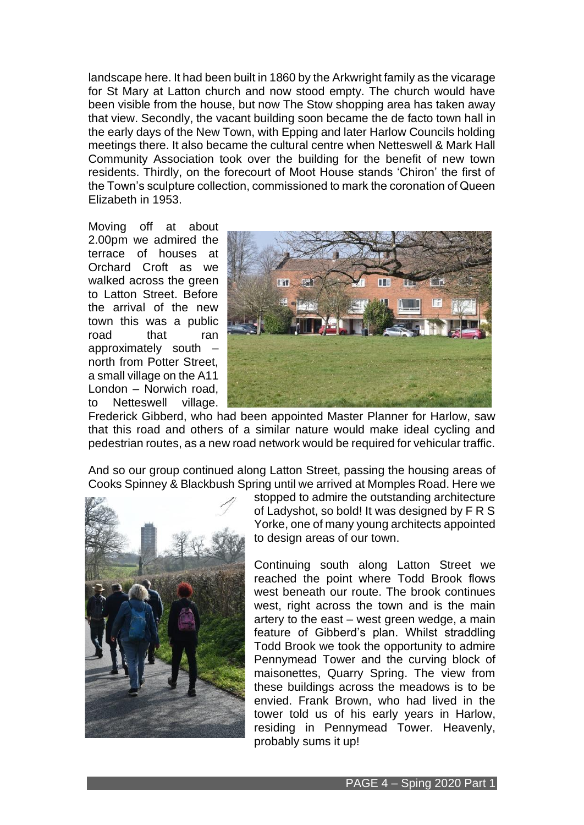landscape here. It had been built in 1860 by the Arkwright family as the vicarage for St Mary at Latton church and now stood empty. The church would have been visible from the house, but now The Stow shopping area has taken away that view. Secondly, the vacant building soon became the de facto town hall in the early days of the New Town, with Epping and later Harlow Councils holding meetings there. It also became the cultural centre when Netteswell & Mark Hall Community Association took over the building for the benefit of new town residents. Thirdly, on the forecourt of Moot House stands 'Chiron' the first of the Town's sculpture collection, commissioned to mark the coronation of Queen Elizabeth in 1953.

Moving off at about 2.00pm we admired the terrace of houses at Orchard Croft as we walked across the green to Latton Street. Before the arrival of the new town this was a public road that ran approximately south – north from Potter Street, a small village on the A11 London – Norwich road, to Netteswell village.



Frederick Gibberd, who had been appointed Master Planner for Harlow, saw that this road and others of a similar nature would make ideal cycling and pedestrian routes, as a new road network would be required for vehicular traffic.

And so our group continued along Latton Street, passing the housing areas of Cooks Spinney & Blackbush Spring until we arrived at Momples Road. Here we



stopped to admire the outstanding architecture of Ladyshot, so bold! It was designed by F R S Yorke, one of many young architects appointed to design areas of our town.

Continuing south along Latton Street we reached the point where Todd Brook flows west beneath our route. The brook continues west, right across the town and is the main artery to the east – west green wedge, a main feature of Gibberd's plan. Whilst straddling Todd Brook we took the opportunity to admire Pennymead Tower and the curving block of maisonettes, Quarry Spring. The view from these buildings across the meadows is to be envied. Frank Brown, who had lived in the tower told us of his early years in Harlow, residing in Pennymead Tower. Heavenly, probably sums it up!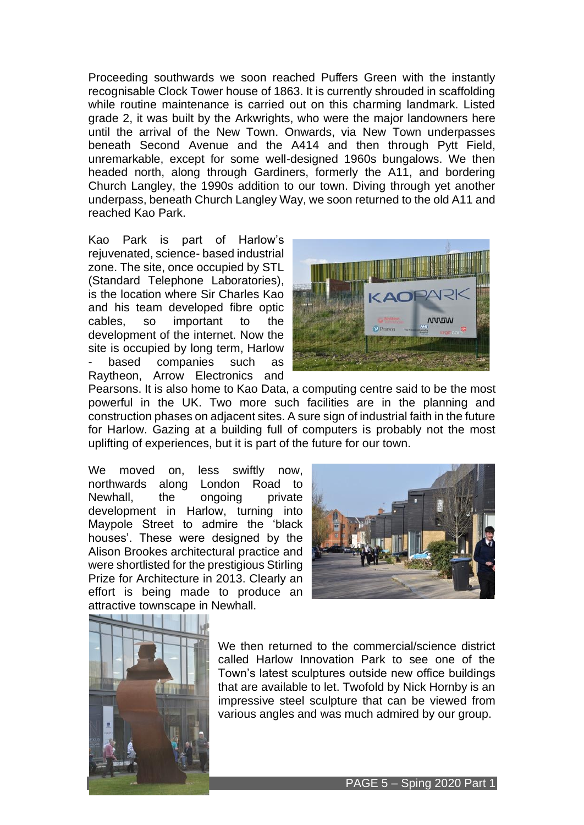Proceeding southwards we soon reached Puffers Green with the instantly recognisable Clock Tower house of 1863. It is currently shrouded in scaffolding while routine maintenance is carried out on this charming landmark. Listed grade 2, it was built by the Arkwrights, who were the major landowners here until the arrival of the New Town. Onwards, via New Town underpasses beneath Second Avenue and the A414 and then through Pytt Field, unremarkable, except for some well-designed 1960s bungalows. We then headed north, along through Gardiners, formerly the A11, and bordering Church Langley, the 1990s addition to our town. Diving through yet another underpass, beneath Church Langley Way, we soon returned to the old A11 and reached Kao Park.

Kao Park is part of Harlow's rejuvenated, science- based industrial zone. The site, once occupied by STL (Standard Telephone Laboratories), is the location where Sir Charles Kao and his team developed fibre optic cables, so important to the development of the internet. Now the site is occupied by long term, Harlow based companies such as Raytheon, Arrow Electronics and



Pearsons. It is also home to Kao Data, a computing centre said to be the most powerful in the UK. Two more such facilities are in the planning and construction phases on adjacent sites. A sure sign of industrial faith in the future for Harlow. Gazing at a building full of computers is probably not the most uplifting of experiences, but it is part of the future for our town.

We moved on, less swiftly now, northwards along London Road to Newhall, the ongoing private development in Harlow, turning into Maypole Street to admire the 'black houses'. These were designed by the Alison Brookes architectural practice and were shortlisted for the prestigious Stirling Prize for Architecture in 2013. Clearly an effort is being made to produce an attractive townscape in Newhall.





We then returned to the commercial/science district called Harlow Innovation Park to see one of the Town's latest sculptures outside new office buildings that are available to let. Twofold by Nick Hornby is an impressive steel sculpture that can be viewed from various angles and was much admired by our group.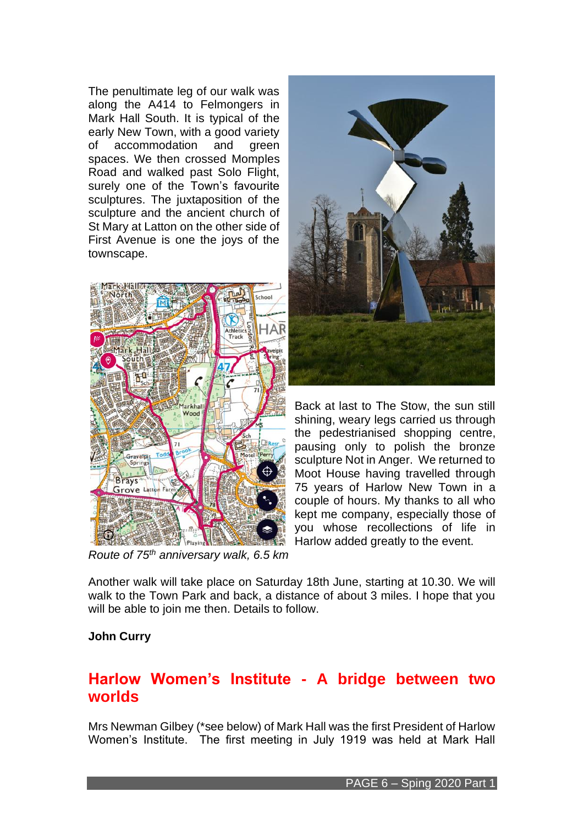The penultimate leg of our walk was along the A414 to Felmongers in Mark Hall South. It is typical of the early New Town, with a good variety of accommodation and green spaces. We then crossed Momples Road and walked past Solo Flight, surely one of the Town's favourite sculptures. The juxtaposition of the sculpture and the ancient church of St Mary at Latton on the other side of First Avenue is one the joys of the townscape.



*Route of 75th anniversary walk, 6.5 km*



Back at last to The Stow, the sun still shining, weary legs carried us through the pedestrianised shopping centre, pausing only to polish the bronze sculpture Not in Anger. We returned to Moot House having travelled through 75 years of Harlow New Town in a couple of hours. My thanks to all who kept me company, especially those of you whose recollections of life in Harlow added greatly to the event.

Another walk will take place on Saturday 18th June, starting at 10.30. We will walk to the Town Park and back, a distance of about 3 miles. I hope that you will be able to join me then. Details to follow.

### **John Curry**

## **Harlow Women's Institute - A bridge between two worlds**

Mrs Newman Gilbey (\*see below) of Mark Hall was the first President of Harlow Women's Institute. The first meeting in July 1919 was held at Mark Hall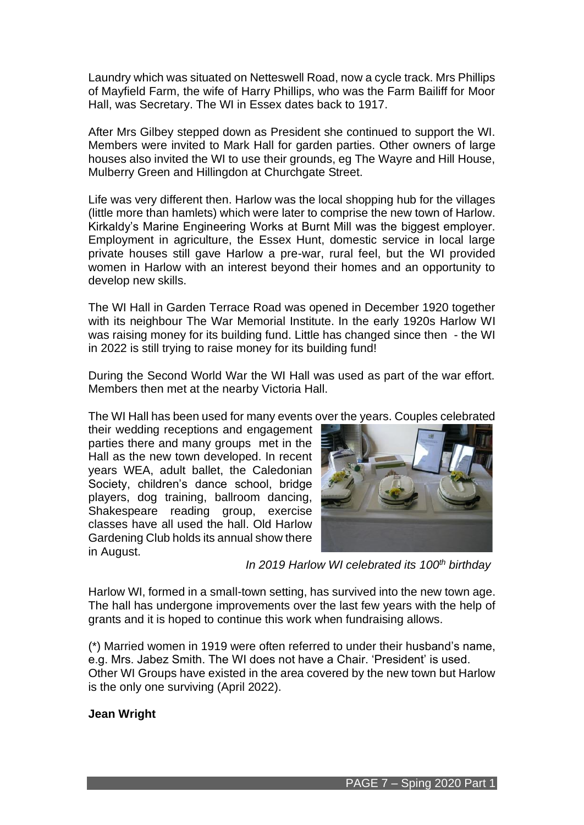Laundry which was situated on Netteswell Road, now a cycle track. Mrs Phillips of Mayfield Farm, the wife of Harry Phillips, who was the Farm Bailiff for Moor Hall, was Secretary. The WI in Essex dates back to 1917.

After Mrs Gilbey stepped down as President she continued to support the WI. Members were invited to Mark Hall for garden parties. Other owners of large houses also invited the WI to use their grounds, eg The Wayre and Hill House, Mulberry Green and Hillingdon at Churchgate Street.

Life was very different then. Harlow was the local shopping hub for the villages (little more than hamlets) which were later to comprise the new town of Harlow. Kirkaldy's Marine Engineering Works at Burnt Mill was the biggest employer. Employment in agriculture, the Essex Hunt, domestic service in local large private houses still gave Harlow a pre-war, rural feel, but the WI provided women in Harlow with an interest beyond their homes and an opportunity to develop new skills.

The WI Hall in Garden Terrace Road was opened in December 1920 together with its neighbour The War Memorial Institute. In the early 1920s Harlow WI was raising money for its building fund. Little has changed since then - the WI in 2022 is still trying to raise money for its building fund!

During the Second World War the WI Hall was used as part of the war effort. Members then met at the nearby Victoria Hall.

The WI Hall has been used for many events over the years. Couples celebrated

their wedding receptions and engagement parties there and many groups met in the Hall as the new town developed. In recent years WEA, adult ballet, the Caledonian Society, children's dance school, bridge players, dog training, ballroom dancing, Shakespeare reading group, exercise classes have all used the hall. Old Harlow Gardening Club holds its annual show there in August.



 *In 2019 Harlow WI celebrated its 100th birthday*

Harlow WI, formed in a small-town setting, has survived into the new town age. The hall has undergone improvements over the last few years with the help of grants and it is hoped to continue this work when fundraising allows.

(\*) Married women in 1919 were often referred to under their husband's name, e.g. Mrs. Jabez Smith. The WI does not have a Chair. 'President' is used. Other WI Groups have existed in the area covered by the new town but Harlow is the only one surviving (April 2022).

### **Jean Wright**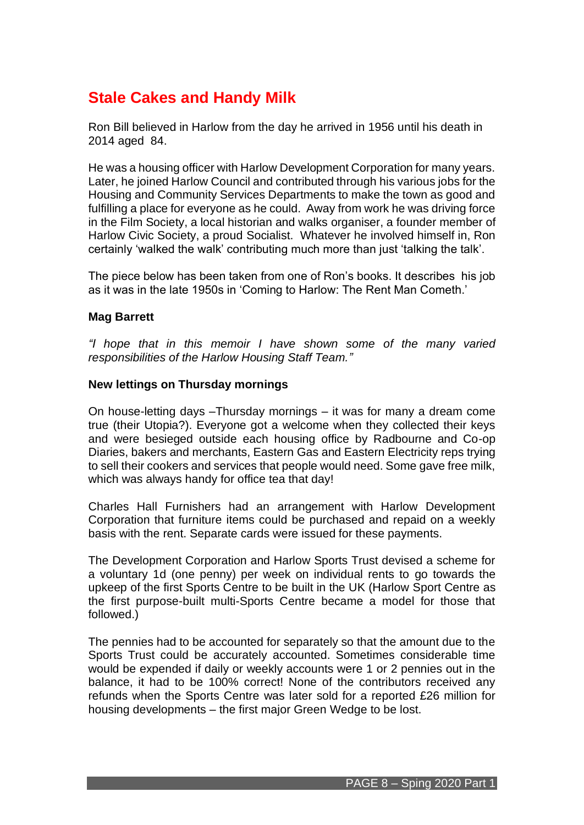## **Stale Cakes and Handy Milk**

Ron Bill believed in Harlow from the day he arrived in 1956 until his death in 2014 aged 84.

He was a housing officer with Harlow Development Corporation for many years. Later, he joined Harlow Council and contributed through his various jobs for the Housing and Community Services Departments to make the town as good and fulfilling a place for everyone as he could. Away from work he was driving force in the Film Society, a local historian and walks organiser, a founder member of Harlow Civic Society, a proud Socialist. Whatever he involved himself in, Ron certainly 'walked the walk' contributing much more than just 'talking the talk'.

The piece below has been taken from one of Ron's books. It describes his job as it was in the late 1950s in 'Coming to Harlow: The Rent Man Cometh.'

### **Mag Barrett**

*"I hope that in this memoir I have shown some of the many varied responsibilities of the Harlow Housing Staff Team."*

### **New lettings on Thursday mornings**

On house-letting days –Thursday mornings – it was for many a dream come true (their Utopia?). Everyone got a welcome when they collected their keys and were besieged outside each housing office by Radbourne and Co-op Diaries, bakers and merchants, Eastern Gas and Eastern Electricity reps trying to sell their cookers and services that people would need. Some gave free milk, which was always handy for office tea that day!

Charles Hall Furnishers had an arrangement with Harlow Development Corporation that furniture items could be purchased and repaid on a weekly basis with the rent. Separate cards were issued for these payments.

The Development Corporation and Harlow Sports Trust devised a scheme for a voluntary 1d (one penny) per week on individual rents to go towards the upkeep of the first Sports Centre to be built in the UK (Harlow Sport Centre as the first purpose-built multi-Sports Centre became a model for those that followed.)

The pennies had to be accounted for separately so that the amount due to the Sports Trust could be accurately accounted. Sometimes considerable time would be expended if daily or weekly accounts were 1 or 2 pennies out in the balance, it had to be 100% correct! None of the contributors received any refunds when the Sports Centre was later sold for a reported £26 million for housing developments – the first major Green Wedge to be lost.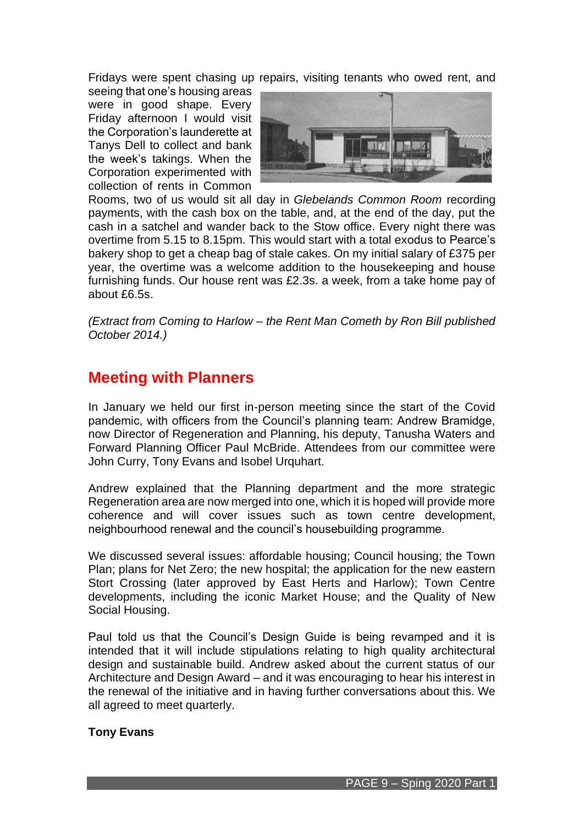Fridays were spent chasing up repairs, visiting tenants who owed rent, and

seeing that one's housing areas were in good shape. Every Friday afternoon I would visit the Corporation's launderette at Tanys Dell to collect and bank the week's takings. When the Corporation experimented with collection of rents in Common



Rooms, two of us would sit all day in *Glebelands Common Room* recording payments, with the cash box on the table, and, at the end of the day, put the cash in a satchel and wander back to the Stow office. Every night there was overtime from 5.15 to 8.15pm. This would start with a total exodus to Pearce's bakery shop to get a cheap bag of stale cakes. On my initial salary of £375 per year, the overtime was a welcome addition to the housekeeping and house furnishing funds. Our house rent was £2.3s. a week, from a take home pay of about £6.5s.

*(Extract from Coming to Harlow – the Rent Man Cometh by Ron Bill published October 2014.)* 

## **Meeting with Planners**

In January we held our first in-person meeting since the start of the Covid pandemic, with officers from the Council's planning team: Andrew Bramidge, now Director of Regeneration and Planning, his deputy, Tanusha Waters and Forward Planning Officer Paul McBride. Attendees from our committee were John Curry, Tony Evans and Isobel Urquhart.

Andrew explained that the Planning department and the more strategic Regeneration area are now merged into one, which it is hoped will provide more coherence and will cover issues such as town centre development, neighbourhood renewal and the council's housebuilding programme.

We discussed several issues: affordable housing; Council housing; the Town Plan; plans for Net Zero; the new hospital; the application for the new eastern Stort Crossing (later approved by East Herts and Harlow); Town Centre developments, including the iconic Market House; and the Quality of New Social Housing.

Paul told us that the Council's Design Guide is being revamped and it is intended that it will include stipulations relating to high quality architectural design and sustainable build. Andrew asked about the current status of our Architecture and Design Award – and it was encouraging to hear his interest in the renewal of the initiative and in having further conversations about this. We all agreed to meet quarterly.

### **Tony Evans**